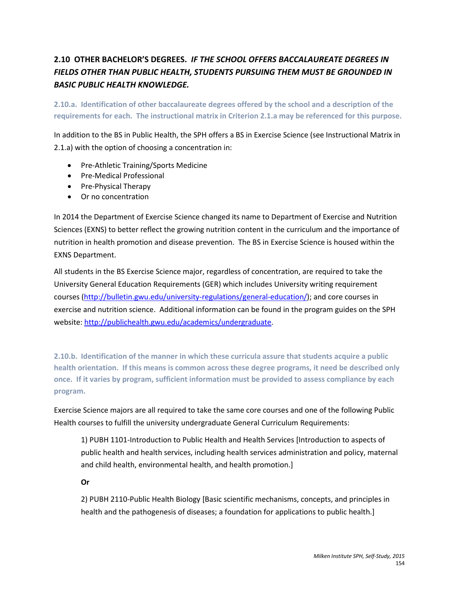# **2.10 OTHER BACHELOR'S DEGREES.** *IF THE SCHOOL OFFERS BACCALAUREATE DEGREES IN FIELDS OTHER THAN PUBLIC HEALTH, STUDENTS PURSUING THEM MUST BE GROUNDED IN BASIC PUBLIC HEALTH KNOWLEDGE.*

**2.10.a. Identification of other baccalaureate degrees offered by the school and a description of the requirements for each. The instructional matrix in Criterion 2.1.a may be referenced for this purpose.**

In addition to the BS in Public Health, the SPH offers a BS in Exercise Science (see Instructional Matrix in 2.1.a) with the option of choosing a concentration in:

- Pre-Athletic Training/Sports Medicine
- Pre-Medical Professional
- Pre-Physical Therapy
- Or no concentration

In 2014 the Department of Exercise Science changed its name to Department of Exercise and Nutrition Sciences (EXNS) to better reflect the growing nutrition content in the curriculum and the importance of nutrition in health promotion and disease prevention. The BS in Exercise Science is housed within the EXNS Department.

All students in the BS Exercise Science major, regardless of concentration, are required to take the University General Education Requirements (GER) which includes University writing requirement courses [\(http://bulletin.gwu.edu/university-regulations/general-education/\)](http://bulletin.gwu.edu/university-regulations/general-education/); and core courses in exercise and nutrition science. Additional information can be found in the program guides on the SPH website[: http://publichealth.gwu.edu/academics/undergraduate.](http://publichealth.gwu.edu/academics/undergraduate)

**2.10.b. Identification of the manner in which these curricula assure that students acquire a public health orientation. If this means is common across these degree programs, it need be described only once. If it varies by program, sufficient information must be provided to assess compliance by each program.** 

Exercise Science majors are all required to take the same core courses and one of the following Public Health courses to fulfill the university undergraduate General Curriculum Requirements:

1) PUBH 1101-Introduction to Public Health and Health Services [Introduction to aspects of public health and health services, including health services administration and policy, maternal and child health, environmental health, and health promotion.]

**Or**

2) PUBH 2110-Public Health Biology [Basic scientific mechanisms, concepts, and principles in health and the pathogenesis of diseases; a foundation for applications to public health.]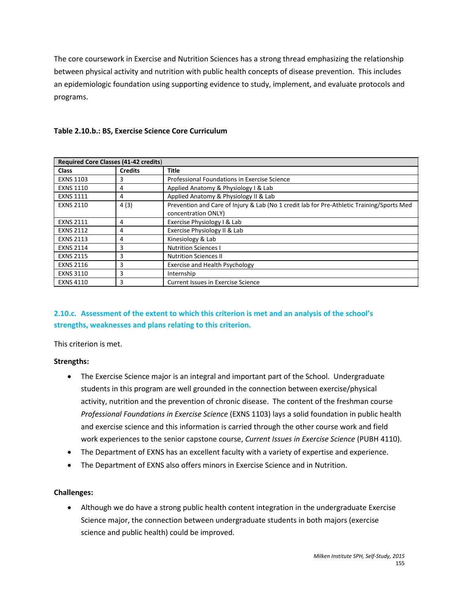The core coursework in Exercise and Nutrition Sciences has a strong thread emphasizing the relationship between physical activity and nutrition with public health concepts of disease prevention. This includes an epidemiologic foundation using supporting evidence to study, implement, and evaluate protocols and programs.

| <b>Required Core Classes (41-42 credits)</b> |                |                                                                                                                  |
|----------------------------------------------|----------------|------------------------------------------------------------------------------------------------------------------|
| <b>Class</b>                                 | <b>Credits</b> | <b>Title</b>                                                                                                     |
| <b>EXNS 1103</b>                             | 3              | Professional Foundations in Exercise Science                                                                     |
| <b>EXNS 1110</b>                             | 4              | Applied Anatomy & Physiology I & Lab                                                                             |
| <b>EXNS 1111</b>                             | 4              | Applied Anatomy & Physiology II & Lab                                                                            |
| <b>EXNS 2110</b>                             | 4(3)           | Prevention and Care of Injury & Lab (No 1 credit lab for Pre-Athletic Training/Sports Med<br>concentration ONLY) |
| <b>EXNS 2111</b>                             | 4              | Exercise Physiology I & Lab                                                                                      |
| <b>EXNS 2112</b>                             | 4              | Exercise Physiology II & Lab                                                                                     |
| <b>EXNS 2113</b>                             | 4              | Kinesiology & Lab                                                                                                |
| <b>EXNS 2114</b>                             | 3              | <b>Nutrition Sciences I</b>                                                                                      |
| <b>EXNS 2115</b>                             | 3              | <b>Nutrition Sciences II</b>                                                                                     |
| <b>EXNS 2116</b>                             | 3              | Exercise and Health Psychology                                                                                   |
| <b>EXNS 3110</b>                             | 3              | Internship                                                                                                       |
| <b>EXNS 4110</b>                             | 3              | <b>Current Issues in Exercise Science</b>                                                                        |

#### **Table 2.10.b.: BS, Exercise Science Core Curriculum**

## **2.10.c. Assessment of the extent to which this criterion is met and an analysis of the school's strengths, weaknesses and plans relating to this criterion.**

This criterion is met.

#### **Strengths:**

- The Exercise Science major is an integral and important part of the School. Undergraduate students in this program are well grounded in the connection between exercise/physical activity, nutrition and the prevention of chronic disease. The content of the freshman course *Professional Foundations in Exercise Science* (EXNS 1103) lays a solid foundation in public health and exercise science and this information is carried through the other course work and field work experiences to the senior capstone course, *Current Issues in Exercise Science* (PUBH 4110).
- The Department of EXNS has an excellent faculty with a variety of expertise and experience.
- The Department of EXNS also offers minors in Exercise Science and in Nutrition.

#### **Challenges:**

• Although we do have a strong public health content integration in the undergraduate Exercise Science major, the connection between undergraduate students in both majors (exercise science and public health) could be improved.